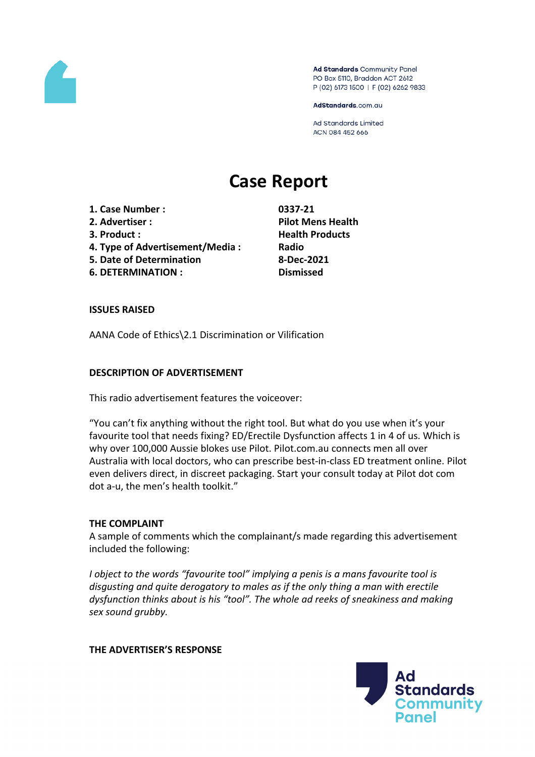

Ad Standards Community Panel PO Box 5110, Braddon ACT 2612 P (02) 6173 1500 | F (02) 6262 9833

AdStandards.com.au

Ad Standards Limited ACN 084 452 666

# **Case Report**

- **1. Case Number : 0337-21 2. Advertiser : Pilot Mens Health**
- 
- **4. Type of Advertisement/Media : Radio**
- **5. Date of Determination 8-Dec-2021**
- **6. DETERMINATION : Dismissed**

**3. Product : Health Products**

# **ISSUES RAISED**

AANA Code of Ethics\2.1 Discrimination or Vilification

# **DESCRIPTION OF ADVERTISEMENT**

This radio advertisement features the voiceover:

"You can't fix anything without the right tool. But what do you use when it's your favourite tool that needs fixing? ED/Erectile Dysfunction affects 1 in 4 of us. Which is why over 100,000 Aussie blokes use Pilot. Pilot.com.au connects men all over Australia with local doctors, who can prescribe best-in-class ED treatment online. Pilot even delivers direct, in discreet packaging. Start your consult today at Pilot dot com dot a-u, the men's health toolkit."

# **THE COMPLAINT**

A sample of comments which the complainant/s made regarding this advertisement included the following:

*I object to the words "favourite tool" implying a penis is a mans favourite tool is disgusting and quite derogatory to males as if the only thing a man with erectile dysfunction thinks about is his "tool". The whole ad reeks of sneakiness and making sex sound grubby.*

# **THE ADVERTISER'S RESPONSE**

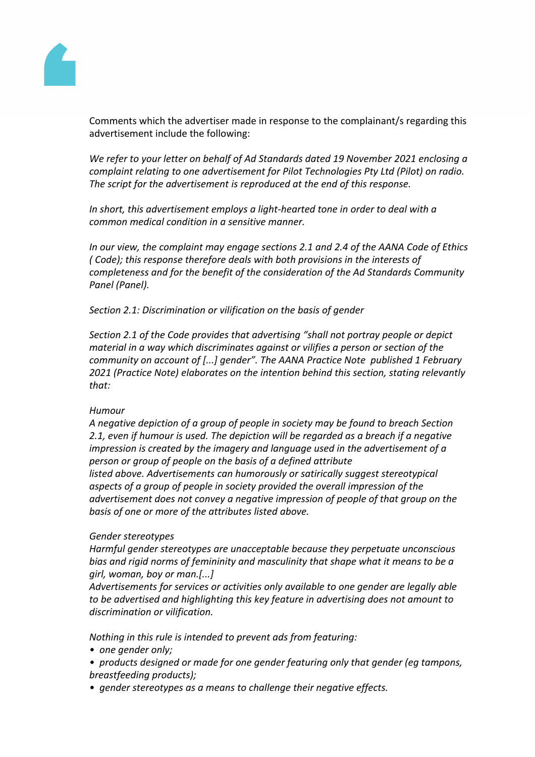

Comments which the advertiser made in response to the complainant/s regarding this advertisement include the following:

*We refer to your letter on behalf of Ad Standards dated 19 November 2021 enclosing a complaint relating to one advertisement for Pilot Technologies Pty Ltd (Pilot) on radio. The script for the advertisement is reproduced at the end of this response.*

*In short, this advertisement employs a light-hearted tone in order to deal with a common medical condition in a sensitive manner.*

*In our view, the complaint may engage sections 2.1 and 2.4 of the AANA Code of Ethics ( Code); this response therefore deals with both provisions in the interests of completeness and for the benefit of the consideration of the Ad Standards Community Panel (Panel).*

*Section 2.1: Discrimination or vilification on the basis of gender*

*Section 2.1 of the Code provides that advertising "shall not portray people or depict material in a way which discriminates against or vilifies a person or section of the community on account of [...] gender". The AANA Practice Note published 1 February 2021 (Practice Note) elaborates on the intention behind this section, stating relevantly that:*

# *Humour*

*A negative depiction of a group of people in society may be found to breach Section 2.1, even if humour is used. The depiction will be regarded as a breach if a negative impression is created by the imagery and language used in the advertisement of a person or group of people on the basis of a defined attribute listed above. Advertisements can humorously or satirically suggest stereotypical aspects of a group of people in society provided the overall impression of the advertisement does not convey a negative impression of people of that group on the basis of one or more of the attributes listed above.*

#### *Gender stereotypes*

*Harmful gender stereotypes are unacceptable because they perpetuate unconscious bias and rigid norms of femininity and masculinity that shape what it means to be a girl, woman, boy or man.[...]*

*Advertisements for services or activities only available to one gender are legally able to be advertised and highlighting this key feature in advertising does not amount to discrimination or vilification.*

*Nothing in this rule is intended to prevent ads from featuring:*

*• one gender only;*

- *products designed or made for one gender featuring only that gender (eg tampons, breastfeeding products);*
- *gender stereotypes as a means to challenge their negative effects.*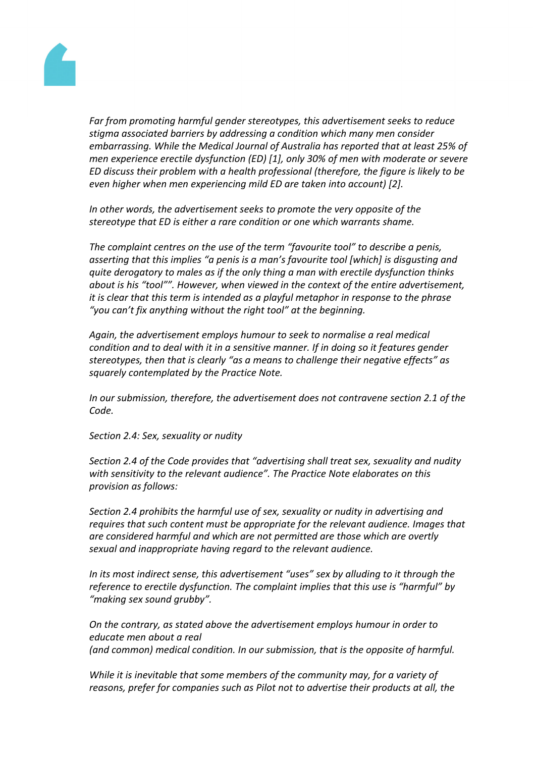

*Far from promoting harmful gender stereotypes, this advertisement seeks to reduce stigma associated barriers by addressing a condition which many men consider embarrassing. While the Medical Journal of Australia has reported that at least 25% of men experience erectile dysfunction (ED) [1], only 30% of men with moderate or severe ED discuss their problem with a health professional (therefore, the figure is likely to be even higher when men experiencing mild ED are taken into account) [2].*

*In other words, the advertisement seeks to promote the very opposite of the stereotype that ED is either a rare condition or one which warrants shame.*

*The complaint centres on the use of the term "favourite tool" to describe a penis, asserting that this implies "a penis is a man's favourite tool [which] is disgusting and quite derogatory to males as if the only thing a man with erectile dysfunction thinks about is his "tool"". However, when viewed in the context of the entire advertisement, it is clear that this term is intended as a playful metaphor in response to the phrase "you can't fix anything without the right tool" at the beginning.*

*Again, the advertisement employs humour to seek to normalise a real medical condition and to deal with it in a sensitive manner. If in doing so it features gender stereotypes, then that is clearly "as a means to challenge their negative effects" as squarely contemplated by the Practice Note.*

*In our submission, therefore, the advertisement does not contravene section 2.1 of the Code.*

*Section 2.4: Sex, sexuality or nudity*

*Section 2.4 of the Code provides that "advertising shall treat sex, sexuality and nudity with sensitivity to the relevant audience". The Practice Note elaborates on this provision as follows:*

*Section 2.4 prohibits the harmful use of sex, sexuality or nudity in advertising and requires that such content must be appropriate for the relevant audience. Images that are considered harmful and which are not permitted are those which are overtly sexual and inappropriate having regard to the relevant audience.*

*In its most indirect sense, this advertisement "uses" sex by alluding to it through the reference to erectile dysfunction. The complaint implies that this use is "harmful" by "making sex sound grubby".*

*On the contrary, as stated above the advertisement employs humour in order to educate men about a real (and common) medical condition. In our submission, that is the opposite of harmful.*

*While it is inevitable that some members of the community may, for a variety of reasons, prefer for companies such as Pilot not to advertise their products at all, the*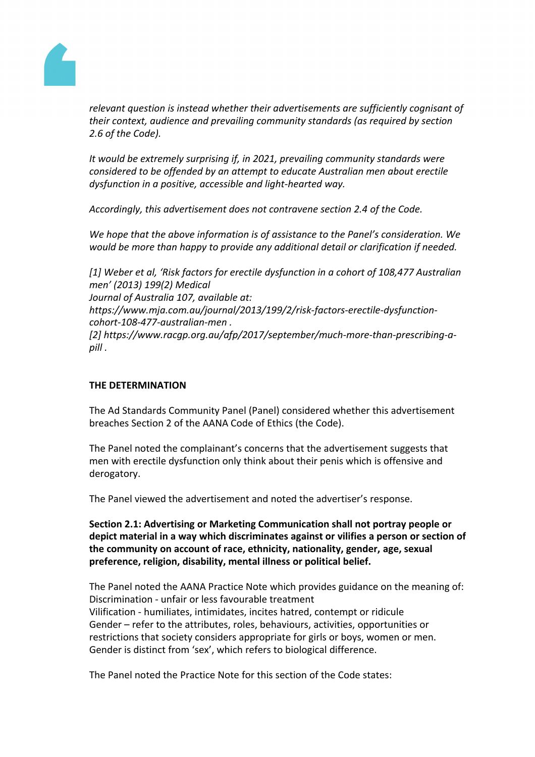

*relevant question is instead whether their advertisements are sufficiently cognisant of their context, audience and prevailing community standards (as required by section 2.6 of the Code).*

*It would be extremely surprising if, in 2021, prevailing community standards were considered to be offended by an attempt to educate Australian men about erectile dysfunction in a positive, accessible and light-hearted way.*

*Accordingly, this advertisement does not contravene section 2.4 of the Code.*

*We hope that the above information is of assistance to the Panel's consideration. We would be more than happy to provide any additional detail or clarification if needed.*

*[1] Weber et al, 'Risk factors for erectile dysfunction in a cohort of 108,477 Australian men' (2013) 199(2) Medical Journal of Australia 107, available at: https://www.mja.com.au/journal/2013/199/2/risk-factors-erectile-dysfunctioncohort-108-477-australian-men . [2] https://www.racgp.org.au/afp/2017/september/much-more-than-prescribing-apill .*

# **THE DETERMINATION**

The Ad Standards Community Panel (Panel) considered whether this advertisement breaches Section 2 of the AANA Code of Ethics (the Code).

The Panel noted the complainant's concerns that the advertisement suggests that men with erectile dysfunction only think about their penis which is offensive and derogatory.

The Panel viewed the advertisement and noted the advertiser's response.

**Section 2.1: Advertising or Marketing Communication shall not portray people or depict material in a way which discriminates against or vilifies a person or section of the community on account of race, ethnicity, nationality, gender, age, sexual preference, religion, disability, mental illness or political belief.**

The Panel noted the AANA Practice Note which provides guidance on the meaning of: Discrimination - unfair or less favourable treatment Vilification - humiliates, intimidates, incites hatred, contempt or ridicule Gender – refer to the attributes, roles, behaviours, activities, opportunities or restrictions that society considers appropriate for girls or boys, women or men. Gender is distinct from 'sex', which refers to biological difference.

The Panel noted the Practice Note for this section of the Code states: